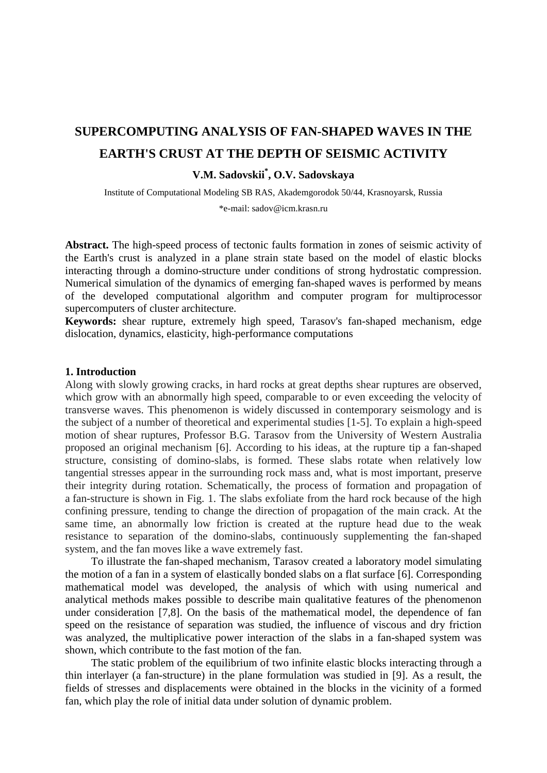# **SUPERCOMPUTING ANALYSIS OF FAN-SHAPED WAVES IN THE EARTH'S CRUST AT THE DEPTH OF SEISMIC ACTIVITY**

## **V.M. Sadovskii\* , O.V. Sadovskaya**

Institute of Computational Modeling SB RAS, Akademgorodok 50/44, Krasnoyarsk, Russia

\*e-mail: sadov@icm.krasn.ru

**Abstract.** The high-speed process of tectonic faults formation in zones of seismic activity of the Earth's crust is analyzed in a plane strain state based on the model of elastic blocks interacting through a domino-structure under conditions of strong hydrostatic compression. Numerical simulation of the dynamics of emerging fan-shaped waves is performed by means of the developed computational algorithm and computer program for multiprocessor supercomputers of cluster architecture.

**Keywords:** shear rupture, extremely high speed, Tarasov's fan-shaped mechanism, edge dislocation, dynamics, elasticity, high-performance computations

#### **1. Introduction**

Along with slowly growing cracks, in hard rocks at great depths shear ruptures are observed, which grow with an abnormally high speed, comparable to or even exceeding the velocity of transverse waves. This phenomenon is widely discussed in contemporary seismology and is the subject of a number of theoretical and experimental studies [1-5]. To explain a high-speed motion of shear ruptures, Professor B.G. Tarasov from the University of Western Australia proposed an original mechanism [6]. According to his ideas, at the rupture tip a fan-shaped structure, consisting of domino-slabs, is formed. These slabs rotate when relatively low tangential stresses appear in the surrounding rock mass and, what is most important, preserve their integrity during rotation. Schematically, the process of formation and propagation of a fan-structure is shown in Fig. 1. The slabs exfoliate from the hard rock because of the high confining pressure, tending to change the direction of propagation of the main crack. At the same time, an abnormally low friction is created at the rupture head due to the weak resistance to separation of the domino-slabs, continuously supplementing the fan-shaped system, and the fan moves like a wave extremely fast.

To illustrate the fan-shaped mechanism, Tarasov created a laboratory model simulating the motion of a fan in a system of elastically bonded slabs on a flat surface [6]. Corresponding mathematical model was developed, the analysis of which with using numerical and analytical methods makes possible to describe main qualitative features of the phenomenon under consideration [7,8]. On the basis of the mathematical model, the dependence of fan speed on the resistance of separation was studied, the influence of viscous and dry friction was analyzed, the multiplicative power interaction of the slabs in a fan-shaped system was shown, which contribute to the fast motion of the fan.

The static problem of the equilibrium of two infinite elastic blocks interacting through a thin interlayer (a fan-structure) in the plane formulation was studied in [9]. As a result, the fields of stresses and displacements were obtained in the blocks in the vicinity of a formed fan, which play the role of initial data under solution of dynamic problem.

http://dx.doi.org/10.18720/MPM.4232019\_8

© 2019, Peter the Great St. Petersburg Polytechnic University

© 2019, Institute of Problems of Mechanical Engineering RAS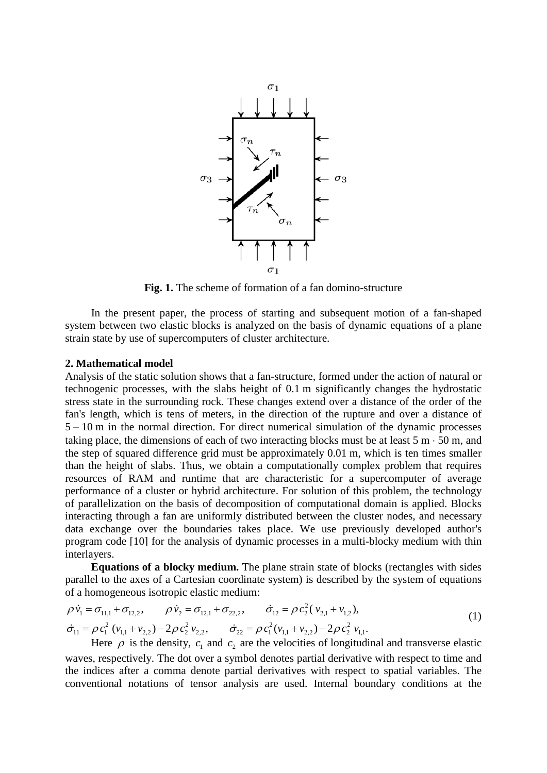

**Fig. 1.** The scheme of formation of a fan domino-structure

In the present paper, the process of starting and subsequent motion of a fan-shaped system between two elastic blocks is analyzed on the basis of dynamic equations of a plane strain state by use of supercomputers of cluster architecture.

#### **2. Mathematical model**

Analysis of the static solution shows that a fan-structure, formed under the action of natural or technogenic processes, with the slabs height of 0.1 m significantly changes the hydrostatic stress state in the surrounding rock. These changes extend over a distance of the order of the fan's length, which is tens of meters, in the direction of the rupture and over a distance of 5 – 10 m in the normal direction. For direct numerical simulation of the dynamic processes taking place, the dimensions of each of two interacting blocks must be at least  $5 \text{ m} \cdot 50 \text{ m}$ , and the step of squared difference grid must be approximately 0.01 m, which is ten times smaller than the height of slabs. Thus, we obtain a computationally complex problem that requires resources of RAM and runtime that are characteristic for a supercomputer of average performance of a cluster or hybrid architecture. For solution of this problem, the technology of parallelization on the basis of decomposition of computational domain is applied. Blocks interacting through a fan are uniformly distributed between the cluster nodes, and necessary data exchange over the boundaries takes place. We use previously developed author's program code [10] for the analysis of dynamic processes in a multi-blocky medium with thin interlayers.

**Equations of a blocky medium.** The plane strain state of blocks (rectangles with sides parallel to the axes of a Cartesian coordinate system) is described by the system of equations of a homogeneous isotropic elastic medium:

$$
\rho \dot{v}_1 = \sigma_{11,1} + \sigma_{12,2}, \qquad \rho \dot{v}_2 = \sigma_{12,1} + \sigma_{22,2}, \qquad \dot{\sigma}_{12} = \rho c_2^2 (v_{2,1} + v_{1,2}),
$$
  
\n
$$
\dot{\sigma}_{11} = \rho c_1^2 (v_{1,1} + v_{2,2}) - 2\rho c_2^2 v_{2,2}, \qquad \dot{\sigma}_{22} = \rho c_1^2 (v_{1,1} + v_{2,2}) - 2\rho c_2^2 v_{1,1}.
$$
\n(1)

Here  $\rho$  is the density,  $c_1$  and  $c_2$  are the velocities of longitudinal and transverse elastic waves, respectively. The dot over a symbol denotes partial derivative with respect to time and the indices after a comma denote partial derivatives with respect to spatial variables. The conventional notations of tensor analysis are used. Internal boundary conditions at the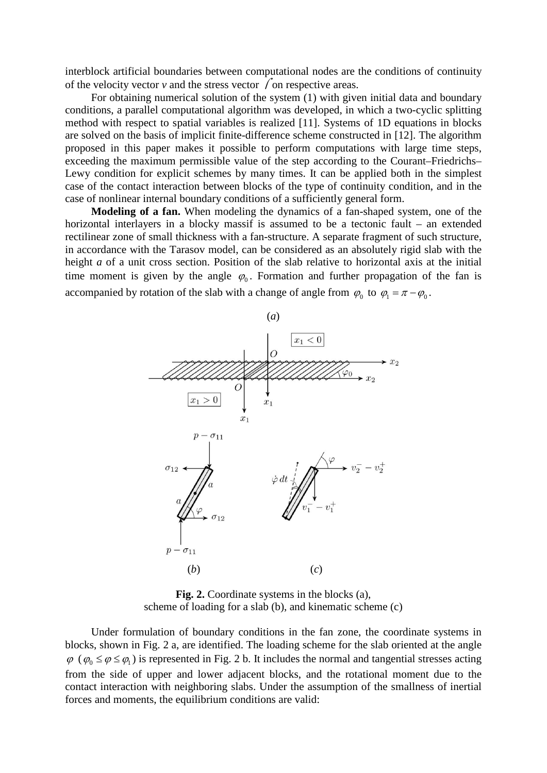interblock artificial boundaries between computational nodes are the conditions of continuity of the velocity vector  $\nu$  and the stress vector  $\sqrt{\ }$  on respective areas.

For obtaining numerical solution of the system (1) with given initial data and boundary conditions, a parallel computational algorithm was developed, in which a two-cyclic splitting method with respect to spatial variables is realized [11]. Systems of 1D equations in blocks are solved on the basis of implicit finite-difference scheme constructed in [12]. The algorithm proposed in this paper makes it possible to perform computations with large time steps, exceeding the maximum permissible value of the step according to the Courant–Friedrichs– Lewy condition for explicit schemes by many times. It can be applied both in the simplest case of the contact interaction between blocks of the type of continuity condition, and in the case of nonlinear internal boundary conditions of a sufficiently general form.

**Modeling of a fan.** When modeling the dynamics of a fan-shaped system, one of the horizontal interlayers in a blocky massif is assumed to be a tectonic fault – an extended rectilinear zone of small thickness with a fan-structure. A separate fragment of such structure, in accordance with the Tarasov model, can be considered as an absolutely rigid slab with the height *a* of a unit cross section. Position of the slab relative to horizontal axis at the initial time moment is given by the angle  $\varphi_0$ . Formation and further propagation of the fan is accompanied by rotation of the slab with a change of angle from  $\varphi_0$  to  $\varphi_1 = \pi - \varphi_0$ .



**Fig. 2.** Coordinate systems in the blocks (a), scheme of loading for a slab (b), and kinematic scheme (c)

Under formulation of boundary conditions in the fan zone, the coordinate systems in blocks, shown in Fig. 2 a, are identified. The loading scheme for the slab oriented at the angle  $\varphi$  ( $\varphi_0 \le \varphi \le \varphi_1$ ) is represented in Fig. 2 b. It includes the normal and tangential stresses acting from the side of upper and lower adjacent blocks, and the rotational moment due to the contact interaction with neighboring slabs. Under the assumption of the smallness of inertial forces and moments, the equilibrium conditions are valid: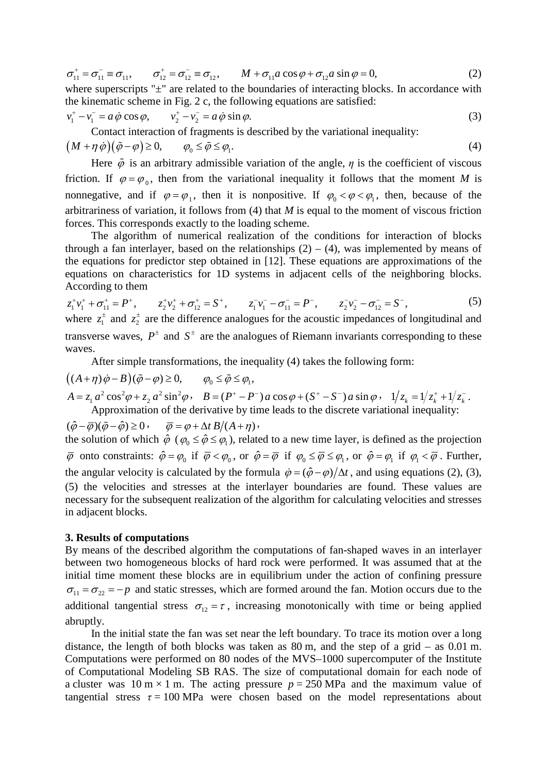$$
\sigma_{11}^+ = \sigma_{11}^- \equiv \sigma_{11}, \qquad \sigma_{12}^+ = \sigma_{12}^- \equiv \sigma_{12}, \qquad M + \sigma_{11} a \cos \varphi + \sigma_{12} a \sin \varphi = 0, \tag{2}
$$

where superscripts " $\pm$ " are related to the boundaries of interacting blocks. In accordance with the kinematic scheme in Fig. 2 c, the following equations are satisfied:

$$
v_1^+ - v_1^- = a \dot{\phi} \cos \phi, \qquad v_2^+ - v_2^- = a \dot{\phi} \sin \phi.
$$
 (3)

Contact interaction of fragments is described by the variational inequality:

$$
(M + \eta \dot{\phi})(\tilde{\phi} - \phi) \ge 0, \qquad \varphi_0 \le \tilde{\phi} \le \varphi_1. \tag{4}
$$

Here  $\tilde{\varphi}$  is an arbitrary admissible variation of the angle,  $\eta$  is the coefficient of viscous friction. If  $\varphi = \varphi_0$ , then from the variational inequality it follows that the moment *M* is nonnegative, and if  $\varphi = \varphi_1$ , then it is nonpositive. If  $\varphi_0 < \varphi < \varphi_1$ , then, because of the arbitrariness of variation, it follows from (4) that *M* is equal to the moment of viscous friction forces. This corresponds exactly to the loading scheme.

The algorithm of numerical realization of the conditions for interaction of blocks through a fan interlayer, based on the relationships  $(2) - (4)$ , was implemented by means of the equations for predictor step obtained in [12]. These equations are approximations of the equations on characteristics for 1D systems in adjacent cells of the neighboring blocks. According to them

$$
z_1^+v_1^+ + \sigma_{11}^+ = P^+, \qquad z_2^+v_2^+ + \sigma_{12}^+ = S^+, \qquad z_1^-v_1^- - \sigma_{11}^- = P^-, \qquad z_2^-v_2^- - \sigma_{12}^- = S^-, \qquad (5)
$$
  
where  $z_1^+$  and  $z_2^+$  are the difference analogues for the acoustic impedances of longitudinal and

transverse waves,  $P^{\pm}$  and  $S^{\pm}$  are the analogues of Riemann invariants corresponding to these waves.

After simple transformations, the inequality (4) takes the following form:

$$
((A + \eta)\dot{\phi} - B)(\tilde{\phi} - \phi) \ge 0, \qquad \varphi_0 \le \tilde{\phi} \le \varphi_1,
$$
  
\n
$$
A = z_1 a^2 \cos^2 \varphi + z_2 a^2 \sin^2 \varphi, \quad B = (P^+ - P^-) a \cos \varphi + (S^+ - S^-) a \sin \varphi, \quad 1/z_k = 1/z_k^+ + 1/z_k^-.
$$
  
\nApproximation of the derivative by time leads to the discrete variational inequality:

 $(\hat{\varphi} - \overline{\varphi})(\tilde{\varphi} - \hat{\varphi}) \geq 0$ ,  $\overline{\varphi} = \varphi + \Delta t B/(A + \eta)$ , the solution of which  $\hat{\varphi}$  ( $\varphi_0 \leq \hat{\varphi} \leq \varphi_1$ ), related to a new time layer, is defined as the projection  $\overline{\varphi}$  onto constraints:  $\hat{\varphi} = \varphi_0$  if  $\overline{\varphi} < \varphi_0$ , or  $\hat{\varphi} = \overline{\varphi}$  if  $\varphi_0 \le \overline{\varphi} \le \varphi_1$ , or  $\hat{\varphi} = \varphi_1$  if  $\varphi_1 < \overline{\varphi}$ . Further, the angular velocity is calculated by the formula  $\dot{\varphi} = (\hat{\varphi} - \varphi)/\Delta t$ , and using equations (2), (3), (5) the velocities and stresses at the interlayer boundaries are found. These values are necessary for the subsequent realization of the algorithm for calculating velocities and stresses in adjacent blocks.

#### **3. Results of computations**

By means of the described algorithm the computations of fan-shaped waves in an interlayer between two homogeneous blocks of hard rock were performed. It was assumed that at the initial time moment these blocks are in equilibrium under the action of confining pressure  $\sigma_{11} = \sigma_{22} = -p$  and static stresses, which are formed around the fan. Motion occurs due to the additional tangential stress  $\sigma_{12} = \tau$ , increasing monotonically with time or being applied abruptly.

In the initial state the fan was set near the left boundary. To trace its motion over a long distance, the length of both blocks was taken as  $80 \text{ m}$ , and the step of a grid – as  $0.01 \text{ m}$ . Computations were performed on 80 nodes of the MVS–1000 supercomputer of the Institute of Computational Modeling SB RAS. The size of computational domain for each node of a cluster was 10 m  $\times$  1 m. The acting pressure  $p = 250$  MPa and the maximum value of tangential stress  $\tau = 100 \text{ MPa}$  were chosen based on the model representations about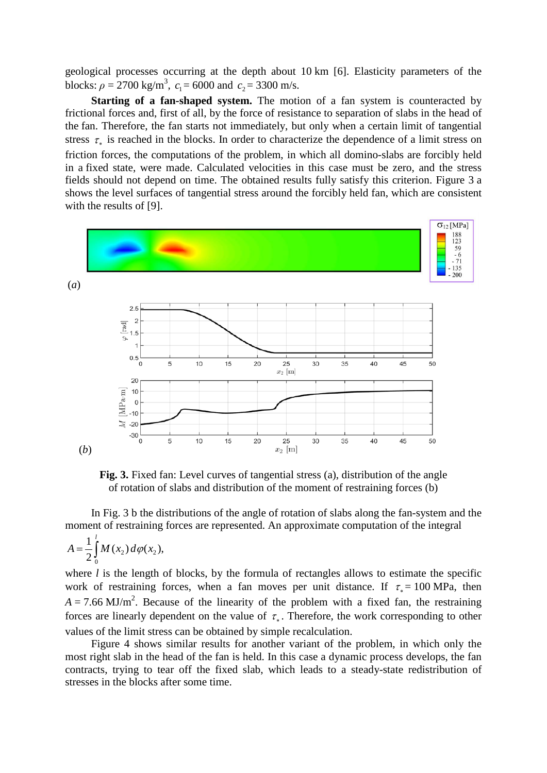geological processes occurring at the depth about 10 km [6]. Elasticity parameters of the blocks:  $\rho = 2700 \text{ kg/m}^3$ ,  $c_1 = 6000$  and  $c_2 = 3300 \text{ m/s}$ .

**Starting of a fan-shaped system.** The motion of a fan system is counteracted by frictional forces and, first of all, by the force of resistance to separation of slabs in the head of the fan. Therefore, the fan starts not immediately, but only when a certain limit of tangential stress  $\tau_*$  is reached in the blocks. In order to characterize the dependence of a limit stress on friction forces, the computations of the problem, in which all domino-slabs are forcibly held in a fixed state, were made. Calculated velocities in this case must be zero, and the stress fields should not depend on time. The obtained results fully satisfy this criterion. Figure 3 a shows the level surfaces of tangential stress around the forcibly held fan, which are consistent with the results of [9].



**Fig. 3.** Fixed fan: Level curves of tangential stress (a), distribution of the angle of rotation of slabs and distribution of the moment of restraining forces (b)

In Fig. 3 b the distributions of the angle of rotation of slabs along the fan-system and the moment of restraining forces are represented. An approximate computation of the integral

$$
A = \frac{1}{2} \int_0^l M(x_2) d\varphi(x_2),
$$

where *l* is the length of blocks, by the formula of rectangles allows to estimate the specific work of restraining forces, when a fan moves per unit distance. If  $\tau_* = 100 \text{ MPa}$ , then  $A = 7.66 \text{ MJ/m}^2$ . Because of the linearity of the problem with a fixed fan, the restraining forces are linearly dependent on the value of  $\tau_{\ast}$ . Therefore, the work corresponding to other values of the limit stress can be obtained by simple recalculation.

Figure 4 shows similar results for another variant of the problem, in which only the most right slab in the head of the fan is held. In this case a dynamic process develops, the fan contracts, trying to tear off the fixed slab, which leads to a steady-state redistribution of stresses in the blocks after some time.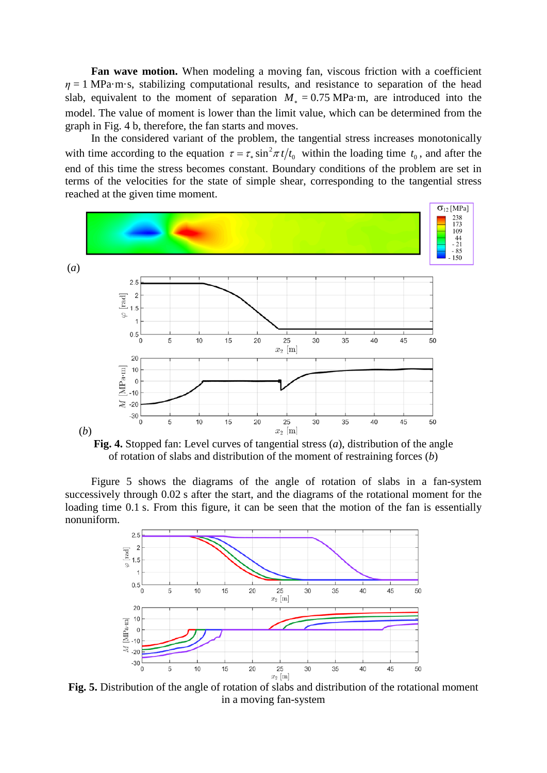**Fan wave motion.** When modeling a moving fan, viscous friction with a coefficient  $\eta = 1$  MPa·m·s, stabilizing computational results, and resistance to separation of the head slab, equivalent to the moment of separation  $M_* = 0.75 \text{ MPa} \cdot \text{m}$ , are introduced into the model. The value of moment is lower than the limit value, which can be determined from the graph in Fig. 4 b, therefore, the fan starts and moves.

In the considered variant of the problem, the tangential stress increases monotonically with time according to the equation  $\tau = \tau_* \sin^2 \pi t / t_0$  within the loading time  $t_0$ , and after the end of this time the stress becomes constant. Boundary conditions of the problem are set in terms of the velocities for the state of simple shear, corresponding to the tangential stress reached at the given time moment.



**Fig. 4.** Stopped fan: Level curves of tangential stress (*a*), distribution of the angle of rotation of slabs and distribution of the moment of restraining forces (*b*)

Figure 5 shows the diagrams of the angle of rotation of slabs in a fan-system successively through 0.02 s after the start, and the diagrams of the rotational moment for the loading time 0.1 s. From this figure, it can be seen that the motion of the fan is essentially nonuniform.



**Fig. 5.** Distribution of the angle of rotation of slabs and distribution of the rotational moment in a moving fan-system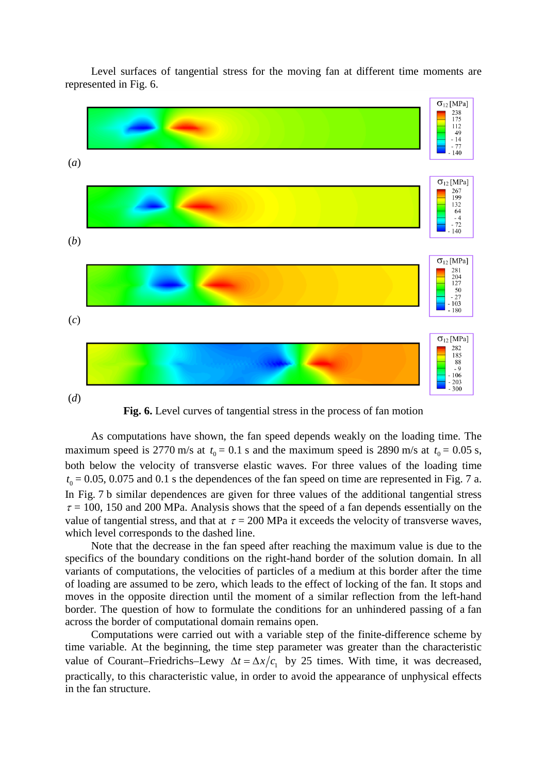Level surfaces of tangential stress for the moving fan at different time moments are represented in Fig. 6.



**Fig. 6.** Level curves of tangential stress in the process of fan motion

As computations have shown, the fan speed depends weakly on the loading time. The maximum speed is 2770 m/s at  $t_0 = 0.1$  s and the maximum speed is 2890 m/s at  $t_0 = 0.05$  s, both below the velocity of transverse elastic waves. For three values of the loading time  $t_0 = 0.05$ , 0.075 and 0.1 s the dependences of the fan speed on time are represented in Fig. 7 a. In Fig. 7 b similar dependences are given for three values of the additional tangential stress  $\tau = 100$ , 150 and 200 MPa. Analysis shows that the speed of a fan depends essentially on the value of tangential stress, and that at  $\tau = 200$  MPa it exceeds the velocity of transverse waves, which level corresponds to the dashed line.

Note that the decrease in the fan speed after reaching the maximum value is due to the specifics of the boundary conditions on the right-hand border of the solution domain. In all variants of computations, the velocities of particles of a medium at this border after the time of loading are assumed to be zero, which leads to the effect of locking of the fan. It stops and moves in the opposite direction until the moment of a similar reflection from the left-hand border. The question of how to formulate the conditions for an unhindered passing of a fan across the border of computational domain remains open.

Computations were carried out with a variable step of the finite-difference scheme by time variable. At the beginning, the time step parameter was greater than the characteristic value of Courant–Friedrichs–Lewy  $\Delta t = \Delta x/c_1$  by 25 times. With time, it was decreased, practically, to this characteristic value, in order to avoid the appearance of unphysical effects in the fan structure.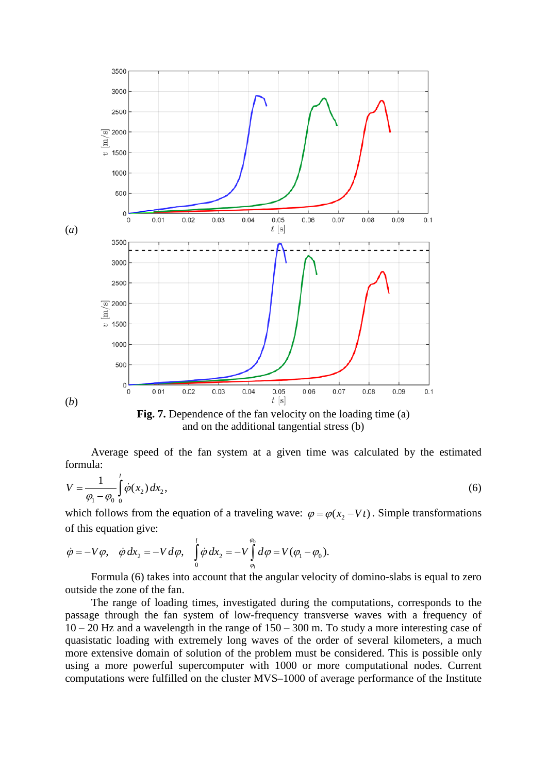

**Fig. 7.** Dependence of the fan velocity on the loading time (a) and on the additional tangential stress (b)

Average speed of the fan system at a given time was calculated by the estimated formula:

$$
V = \frac{1}{\varphi_1 - \varphi_0} \int_0^1 \dot{\varphi}(x_2) \, dx_2,\tag{6}
$$

which follows from the equation of a traveling wave:  $\varphi = \varphi(x, -Vt)$ . Simple transformations of this equation give:

$$
\dot{\varphi} = -V\varphi, \quad \dot{\varphi} \, dx_2 = -V d\varphi, \quad \int_0^l \dot{\varphi} \, dx_2 = -V \int_{\varphi_l}^{\varphi_l} d\varphi = V(\varphi_l - \varphi_0).
$$

Formula (6) takes into account that the angular velocity of domino-slabs is equal to zero outside the zone of the fan.

The range of loading times, investigated during the computations, corresponds to the passage through the fan system of low-frequency transverse waves with a frequency of  $10 - 20$  Hz and a wavelength in the range of  $150 - 300$  m. To study a more interesting case of quasistatic loading with extremely long waves of the order of several kilometers, a much more extensive domain of solution of the problem must be considered. This is possible only using a more powerful supercomputer with 1000 or more computational nodes. Current computations were fulfilled on the cluster MVS–1000 of average performance of the Institute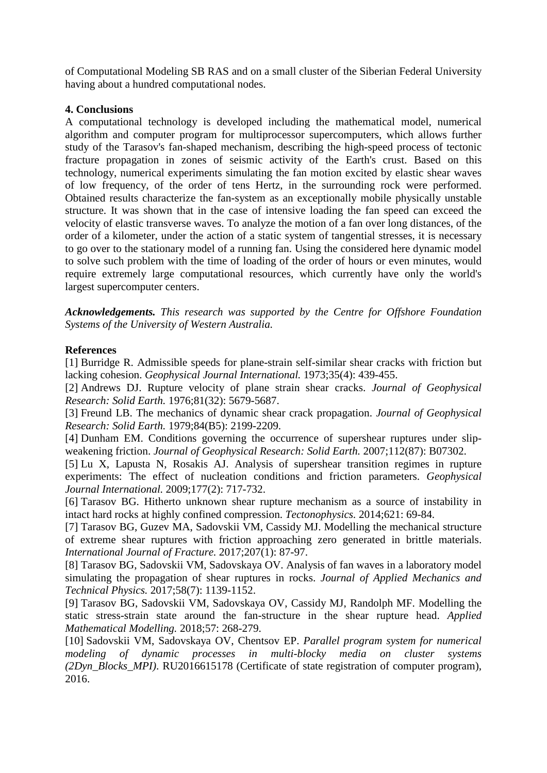of Computational Modeling SB RAS and on a small cluster of the Siberian Federal University having about a hundred computational nodes.

## **4. Conclusions**

A computational technology is developed including the mathematical model, numerical algorithm and computer program for multiprocessor supercomputers, which allows further study of the Tarasov's fan-shaped mechanism, describing the high-speed process of tectonic fracture propagation in zones of seismic activity of the Earth's crust. Based on this technology, numerical experiments simulating the fan motion excited by elastic shear waves of low frequency, of the order of tens Hertz, in the surrounding rock were performed. Obtained results characterize the fan-system as an exceptionally mobile physically unstable structure. It was shown that in the case of intensive loading the fan speed can exceed the velocity of elastic transverse waves. To analyze the motion of a fan over long distances, of the order of a kilometer, under the action of a static system of tangential stresses, it is necessary to go over to the stationary model of a running fan. Using the considered here dynamic model to solve such problem with the time of loading of the order of hours or even minutes, would require extremely large computational resources, which currently have only the world's largest supercomputer centers.

*Acknowledgements. This research was supported by the Centre for Offshore Foundation Systems of the University of Western Australia.*

### **References**

[1] Burridge R. Admissible speeds for plane-strain self-similar shear cracks with friction but lacking cohesion. *Geophysical Journal International.* 1973;35(4): 439-455.

[2] Andrews DJ. Rupture velocity of plane strain shear cracks. *Journal of Geophysical Research: Solid Earth.* 1976;81(32): 5679-5687.

[3] Freund LB. The mechanics of dynamic shear crack propagation. *Journal of Geophysical Research: Solid Earth.* 1979;84(B5): 2199-2209.

[4] Dunham EM. Conditions governing the occurrence of supershear ruptures under slipweakening friction. *Journal of Geophysical Research: Solid Earth.* 2007;112(87): B07302.

[5] Lu X, Lapusta N, Rosakis AJ. Analysis of supershear transition regimes in rupture experiments: The effect of nucleation conditions and friction parameters. *Geophysical Journal International.* 2009;177(2): 717-732.

[6] Tarasov BG. Hitherto unknown shear rupture mechanism as a source of instability in intact hard rocks at highly confined compression. *Tectonophysics.* 2014;621: 69-84.

[7] Tarasov BG, Guzev MA, Sadovskii VM, Cassidy MJ. Modelling the mechanical structure of extreme shear ruptures with friction approaching zero generated in brittle materials. *International Journal of Fracture.* 2017;207(1): 87-97.

[8] Tarasov BG, Sadovskii VM, Sadovskaya OV. Analysis of fan waves in a laboratory model simulating the propagation of shear ruptures in rocks. *Journal of Applied Mechanics and Technical Physics.* 2017;58(7): 1139-1152.

[9] Tarasov BG, Sadovskii VM, Sadovskaya OV, Cassidy MJ, Randolph MF. Modelling the static stress-strain state around the fan-structure in the shear rupture head. *Applied Mathematical Modelling.* 2018;57: 268-279.

[10] Sadovskii VM, Sadovskaya OV, Chentsov EP. *Parallel program system for numerical modeling of dynamic processes in multi-blocky media on cluster systems (2Dyn\_Blocks\_MPI)*. RU2016615178 (Certificate of state registration of computer program), 2016.